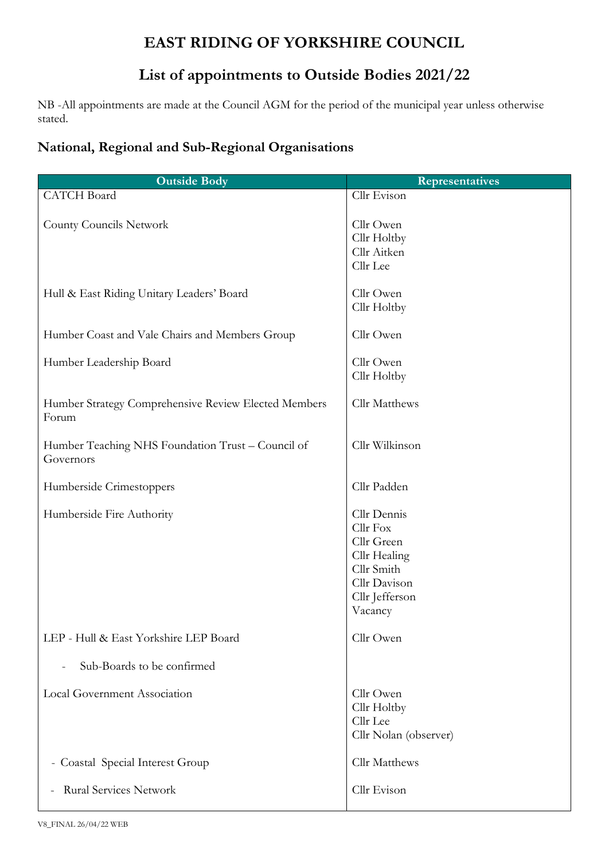## **EAST RIDING OF YORKSHIRE COUNCIL**

## **List of appointments to Outside Bodies 2021/22**

NB -All appointments are made at the Council AGM for the period of the municipal year unless otherwise stated.

## **National, Regional and Sub-Regional Organisations**

| <b>Outside Body</b>                                            | <b>Representatives</b>                                                                                           |
|----------------------------------------------------------------|------------------------------------------------------------------------------------------------------------------|
| <b>CATCH Board</b>                                             | Cllr Evison                                                                                                      |
| <b>County Councils Network</b>                                 | Cllr Owen<br>Cllr Holtby<br>Cllr Aitken<br>Cllr Lee                                                              |
| Hull & East Riding Unitary Leaders' Board                      | Cllr Owen<br>Cllr Holtby                                                                                         |
| Humber Coast and Vale Chairs and Members Group                 | Cllr Owen                                                                                                        |
| Humber Leadership Board                                        | Cllr Owen<br>Cllr Holtby                                                                                         |
| Humber Strategy Comprehensive Review Elected Members<br>Forum  | Cllr Matthews                                                                                                    |
| Humber Teaching NHS Foundation Trust - Council of<br>Governors | Cllr Wilkinson                                                                                                   |
| Humberside Crimestoppers                                       | Cllr Padden                                                                                                      |
| Humberside Fire Authority                                      | Cllr Dennis<br>Cllr Fox<br>Cllr Green<br>Cllr Healing<br>Cllr Smith<br>Cllr Davison<br>Cllr Jefferson<br>Vacancy |
| LEP - Hull & East Yorkshire LEP Board                          | Cllr Owen                                                                                                        |
| Sub-Boards to be confirmed<br>$\overline{a}$                   |                                                                                                                  |
| Local Government Association                                   | Cllr Owen<br>Cllr Holtby<br>Cllr Lee<br>Cllr Nolan (observer)                                                    |
| - Coastal Special Interest Group                               | Cllr Matthews                                                                                                    |
| <b>Rural Services Network</b>                                  | Cllr Evison                                                                                                      |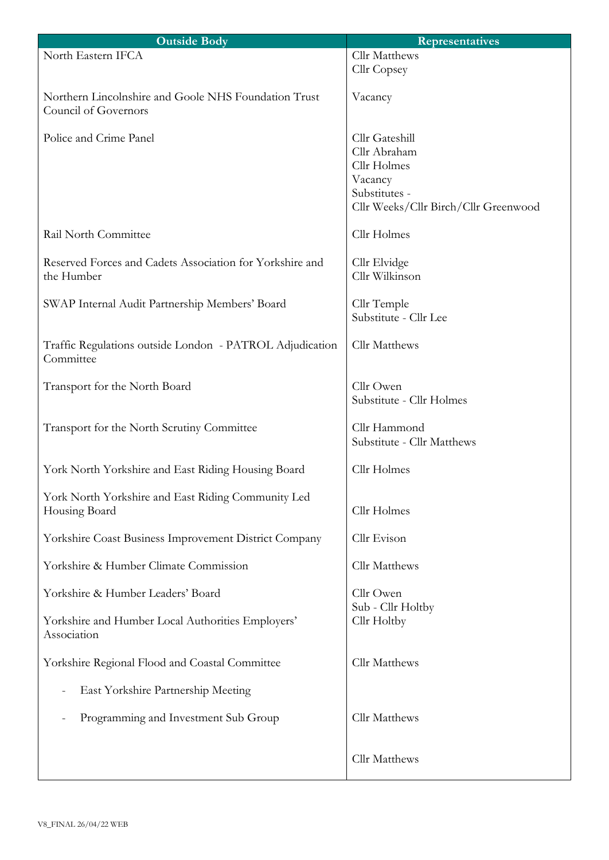| <b>Outside Body</b>                                                          | <b>Representatives</b>                                                                                            |
|------------------------------------------------------------------------------|-------------------------------------------------------------------------------------------------------------------|
| North Eastern IFCA                                                           | Cllr Matthews<br>Cllr Copsey                                                                                      |
| Northern Lincolnshire and Goole NHS Foundation Trust<br>Council of Governors | Vacancy                                                                                                           |
| Police and Crime Panel                                                       | Cllr Gateshill<br>Cllr Abraham<br>Cllr Holmes<br>Vacancy<br>Substitutes -<br>Cllr Weeks/Cllr Birch/Cllr Greenwood |
| Rail North Committee                                                         | Cllr Holmes                                                                                                       |
| Reserved Forces and Cadets Association for Yorkshire and<br>the Humber       | Cllr Elvidge<br>Cllr Wilkinson                                                                                    |
| SWAP Internal Audit Partnership Members' Board                               | Cllr Temple<br>Substitute - Cllr Lee                                                                              |
| Traffic Regulations outside London - PATROL Adjudication<br>Committee        | Cllr Matthews                                                                                                     |
| Transport for the North Board                                                | Cllr Owen<br>Substitute - Cllr Holmes                                                                             |
| Transport for the North Scrutiny Committee                                   | Cllr Hammond<br>Substitute - Cllr Matthews                                                                        |
| York North Yorkshire and East Riding Housing Board                           | Cllr Holmes                                                                                                       |
| York North Yorkshire and East Riding Community Led<br>Housing Board          | Cllr Holmes                                                                                                       |
| Yorkshire Coast Business Improvement District Company                        | Cllr Evison                                                                                                       |
| Yorkshire & Humber Climate Commission                                        | Cllr Matthews                                                                                                     |
| Yorkshire & Humber Leaders' Board                                            | Cllr Owen<br>Sub - Cllr Holtby                                                                                    |
| Yorkshire and Humber Local Authorities Employers'<br>Association             | Cllr Holtby                                                                                                       |
| Yorkshire Regional Flood and Coastal Committee                               | Cllr Matthews                                                                                                     |
| East Yorkshire Partnership Meeting                                           |                                                                                                                   |
| Programming and Investment Sub Group                                         | Cllr Matthews                                                                                                     |
|                                                                              | Cllr Matthews                                                                                                     |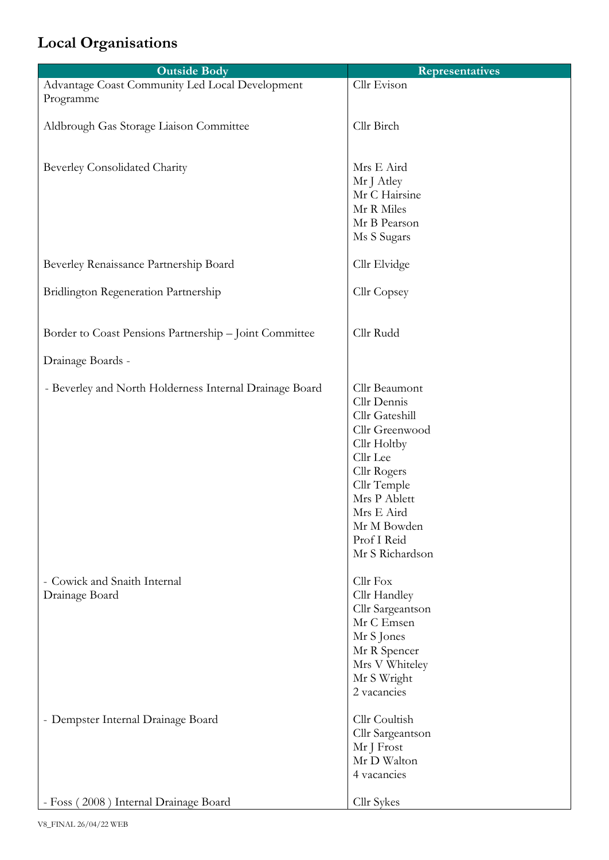## **Local Organisations**

| <b>Outside Body</b>                                          | <b>Representatives</b>                                                                                                                                                                                   |
|--------------------------------------------------------------|----------------------------------------------------------------------------------------------------------------------------------------------------------------------------------------------------------|
| Advantage Coast Community Led Local Development<br>Programme | Cllr Evison                                                                                                                                                                                              |
| Aldbrough Gas Storage Liaison Committee                      | Cllr Birch                                                                                                                                                                                               |
| <b>Beverley Consolidated Charity</b>                         | Mrs E Aird<br>Mr J Atley<br>Mr C Hairsine<br>Mr R Miles<br>Mr B Pearson<br>Ms S Sugars                                                                                                                   |
| Beverley Renaissance Partnership Board                       | Cllr Elvidge                                                                                                                                                                                             |
| Bridlington Regeneration Partnership                         | Cllr Copsey                                                                                                                                                                                              |
| Border to Coast Pensions Partnership - Joint Committee       | Cllr Rudd                                                                                                                                                                                                |
| Drainage Boards -                                            |                                                                                                                                                                                                          |
| - Beverley and North Holderness Internal Drainage Board      | Cllr Beaumont<br>Cllr Dennis<br>Cllr Gateshill<br>Cllr Greenwood<br>Cllr Holtby<br>Cllr Lee<br>Cllr Rogers<br>Cllr Temple<br>Mrs P Ablett<br>Mrs E Aird<br>Mr M Bowden<br>Prof I Reid<br>Mr S Richardson |
| - Cowick and Snaith Internal<br>Drainage Board               | Cllr Fox<br>Cllr Handley<br>Cllr Sargeantson<br>Mr C Emsen<br>Mr S Jones<br>Mr R Spencer<br>Mrs V Whiteley<br>Mr S Wright<br>2 vacancies                                                                 |
| - Dempster Internal Drainage Board                           | Cllr Coultish<br>Cllr Sargeantson<br>Mr J Frost<br>Mr D Walton<br>4 vacancies                                                                                                                            |
| - Foss (2008) Internal Drainage Board                        | Cllr Sykes                                                                                                                                                                                               |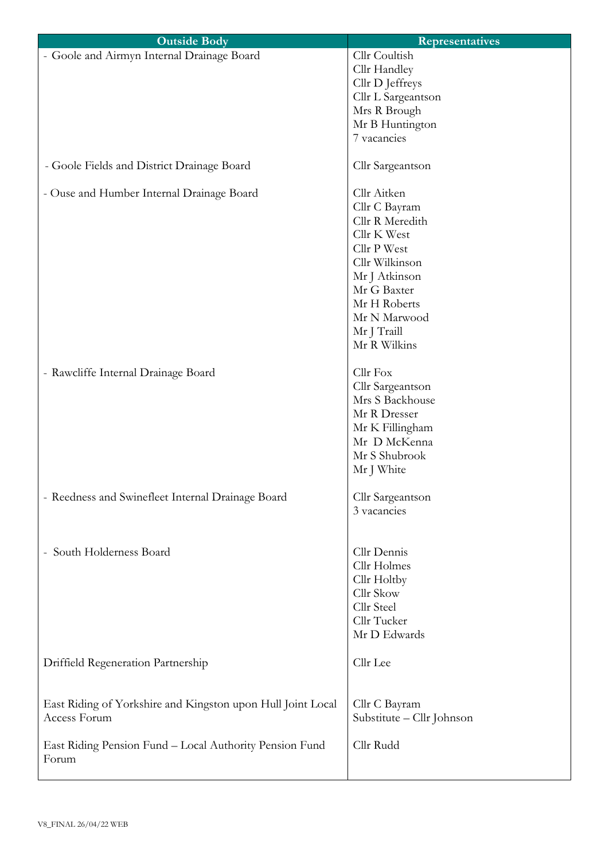| <b>Outside Body</b>                                         | <b>Representatives</b>        |
|-------------------------------------------------------------|-------------------------------|
| - Goole and Airmyn Internal Drainage Board                  | Cllr Coultish<br>Cllr Handley |
|                                                             | Cllr D Jeffreys               |
|                                                             | Cllr L Sargeantson            |
|                                                             | Mrs R Brough                  |
|                                                             | Mr B Huntington               |
|                                                             | 7 vacancies                   |
|                                                             |                               |
| - Goole Fields and District Drainage Board                  | Cllr Sargeantson              |
| - Ouse and Humber Internal Drainage Board                   | Cllr Aitken                   |
|                                                             | Cllr C Bayram                 |
|                                                             | Cllr R Meredith               |
|                                                             | Cllr K West                   |
|                                                             | Cllr P West                   |
|                                                             | Cllr Wilkinson                |
|                                                             | Mr J Atkinson                 |
|                                                             | Mr G Baxter                   |
|                                                             | Mr H Roberts                  |
|                                                             | Mr N Marwood                  |
|                                                             | Mr J Traill                   |
|                                                             | Mr R Wilkins                  |
| - Rawcliffe Internal Drainage Board                         | Cllr Fox                      |
|                                                             | Cllr Sargeantson              |
|                                                             | Mrs S Backhouse               |
|                                                             | Mr R Dresser                  |
|                                                             | Mr K Fillingham               |
|                                                             | Mr D McKenna                  |
|                                                             | Mr S Shubrook                 |
|                                                             | Mr J White                    |
|                                                             |                               |
| - Reedness and Swinefleet Internal Drainage Board           | Cllr Sargeantson              |
|                                                             | 3 vacancies                   |
|                                                             |                               |
| - South Holderness Board                                    | Cllr Dennis                   |
|                                                             | Cllr Holmes                   |
|                                                             | Cllr Holtby                   |
|                                                             | Cllr Skow                     |
|                                                             | Cllr Steel                    |
|                                                             | Cllr Tucker                   |
|                                                             | Mr D Edwards                  |
| Driffield Regeneration Partnership                          | Cllr Lee                      |
|                                                             |                               |
| East Riding of Yorkshire and Kingston upon Hull Joint Local | Cllr C Bayram                 |
| Access Forum                                                | Substitute - Cllr Johnson     |
|                                                             |                               |
| East Riding Pension Fund - Local Authority Pension Fund     | Cllr Rudd                     |
| Forum                                                       |                               |
|                                                             |                               |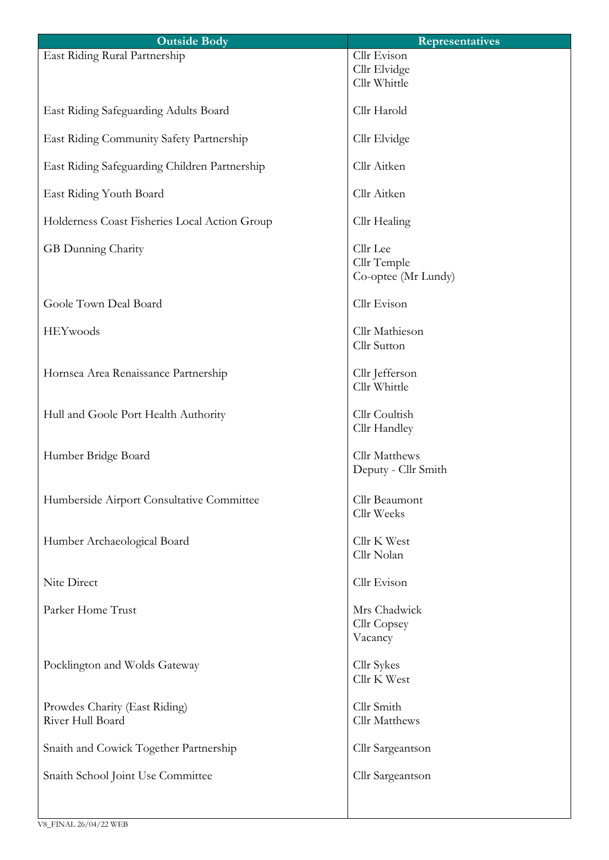| <b>Outside Body</b>                               | <b>Representatives</b>                         |
|---------------------------------------------------|------------------------------------------------|
| East Riding Rural Partnership                     | Cllr Evison<br>Cllr Elvidge<br>Cllr Whittle    |
| East Riding Safeguarding Adults Board             | Cllr Harold                                    |
| East Riding Community Safety Partnership          | Cllr Elvidge                                   |
| East Riding Safeguarding Children Partnership     | Cllr Aitken                                    |
| East Riding Youth Board                           | Cllr Aitken                                    |
| Holderness Coast Fisheries Local Action Group     | Cllr Healing                                   |
| GB Dunning Charity                                | Cllr Lee<br>Cllr Temple<br>Co-optee (Mr Lundy) |
| Goole Town Deal Board                             | Cllr Evison                                    |
| HEYwoods                                          | Cllr Mathieson<br>Cllr Sutton                  |
| Hornsea Area Renaissance Partnership              | Cllr Jefferson<br>Cllr Whittle                 |
| Hull and Goole Port Health Authority              | Cllr Coultish<br>Cllr Handley                  |
| Humber Bridge Board                               | Cllr Matthews<br>Deputy - Cllr Smith           |
| Humberside Airport Consultative Committee         | Cllr Beaumont<br>Cllr Weeks                    |
| Humber Archaeological Board                       | Cllr K West<br>Cllr Nolan                      |
| Nite Direct                                       | Cllr Evison                                    |
| Parker Home Trust                                 | Mrs Chadwick<br>Cllr Copsey<br>Vacancy         |
| Pocklington and Wolds Gateway                     | Cllr Sykes<br>Cllr K West                      |
| Prowdes Charity (East Riding)<br>River Hull Board | Cllr Smith<br>Cllr Matthews                    |
| Snaith and Cowick Together Partnership            | Cllr Sargeantson                               |
| Snaith School Joint Use Committee                 | Cllr Sargeantson                               |